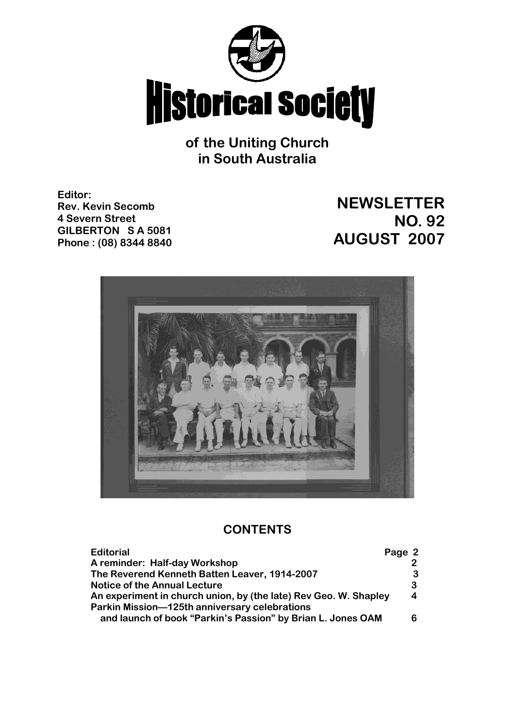

**of the Uniting Church in South Australia**

**Editor: Rev. Kevin Secomb 4 Severn Street GILBERTON S A 5081 Phone : (08) 8344 8840**

# **NEWSLETTER NO. 92 AUGUST 2007**



# **CONTENTS**

| <b>Editorial</b>                                                 | Page 2 |
|------------------------------------------------------------------|--------|
| A reminder: Half-day Workshop                                    |        |
| The Reverend Kenneth Batten Leaver, 1914-2007                    | 3      |
| <b>Notice of the Annual Lecture</b>                              | 3      |
| An experiment in church union, by (the late) Rev Geo. W. Shapley | 4      |
| Parkin Mission-125th anniversary celebrations                    |        |
| and launch of book "Parkin's Passion" by Brian L. Jones OAM      | 6      |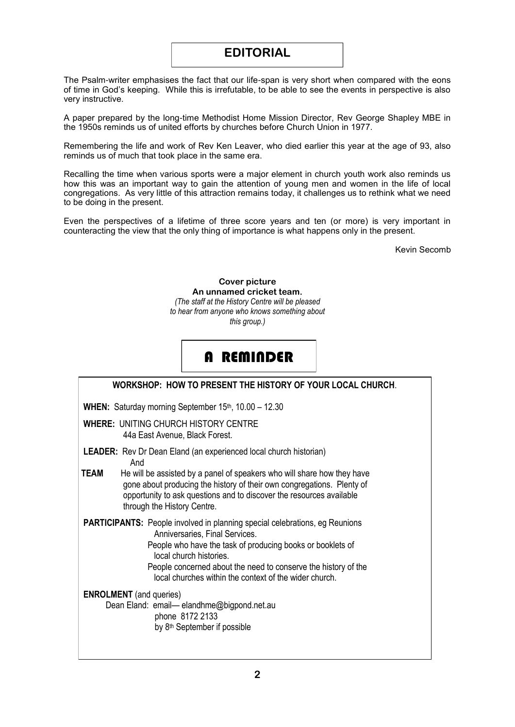## **EDITORIAL**

The Psalm-writer emphasises the fact that our life-span is very short when compared with the eons of time in God's keeping. While this is irrefutable, to be able to see the events in perspective is also very instructive.

A paper prepared by the long-time Methodist Home Mission Director, Rev George Shapley MBE in the 1950s reminds us of united efforts by churches before Church Union in 1977.

Remembering the life and work of Rev Ken Leaver, who died earlier this year at the age of 93, also reminds us of much that took place in the same era.

Recalling the time when various sports were a major element in church youth work also reminds us how this was an important way to gain the attention of young men and women in the life of local congregations. As very little of this attraction remains today, it challenges us to rethink what we need to be doing in the present.

Even the perspectives of a lifetime of three score years and ten (or more) is very important in counteracting the view that the only thing of importance is what happens only in the present.

Kevin Secomb

**Cover picture An unnamed cricket team.** *(The staff at the History Centre will be pleased to hear from anyone who knows something about this group.)*

# A REMINDER

| WORKSHOP: HOW TO PRESENT THE HISTORY OF YOUR LOCAL CHURCH.                                                                                                                                                                                                                                                                                |
|-------------------------------------------------------------------------------------------------------------------------------------------------------------------------------------------------------------------------------------------------------------------------------------------------------------------------------------------|
| <b>WHEN:</b> Saturday morning September $15th$ , $10.00 - 12.30$                                                                                                                                                                                                                                                                          |
| <b>WHERE: UNITING CHURCH HISTORY CENTRE</b><br>44a East Avenue, Black Forest.                                                                                                                                                                                                                                                             |
| <b>LEADER:</b> Rev Dr Dean Eland (an experienced local church historian)<br>And                                                                                                                                                                                                                                                           |
| <b>TEAM</b><br>He will be assisted by a panel of speakers who will share how they have<br>gone about producing the history of their own congregations. Plenty of<br>opportunity to ask questions and to discover the resources available<br>through the History Centre.                                                                   |
| <b>PARTICIPANTS:</b> People involved in planning special celebrations, eg Reunions<br>Anniversaries, Final Services.<br>People who have the task of producing books or booklets of<br>local church histories.<br>People concerned about the need to conserve the history of the<br>local churches within the context of the wider church. |
| <b>ENROLMENT</b> (and queries)<br>Dean Eland: email-elandhme@bigpond.net.au<br>phone 8172 2133<br>by 8 <sup>th</sup> September if possible                                                                                                                                                                                                |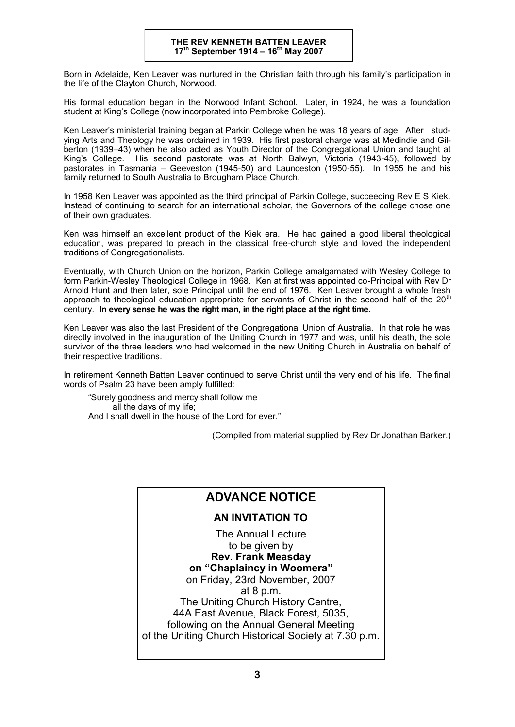Born in Adelaide, Ken Leaver was nurtured in the Christian faith through his family's participation in the life of the Clayton Church, Norwood.

His formal education began in the Norwood Infant School. Later, in 1924, he was a foundation student at King's College (now incorporated into Pembroke College).

Ken Leaver's ministerial training began at Parkin College when he was 18 years of age. After studying Arts and Theology he was ordained in 1939. His first pastoral charge was at Medindie and Gilberton (1939–43) when he also acted as Youth Director of the Congregational Union and taught at King's College. His second pastorate was at North Balwyn, Victoria (1943-45), followed by pastorates in Tasmania – Geeveston (1945-50) and Launceston (1950-55). In 1955 he and his family returned to South Australia to Brougham Place Church.

In 1958 Ken Leaver was appointed as the third principal of Parkin College, succeeding Rev E S Kiek. Instead of continuing to search for an international scholar, the Governors of the college chose one of their own graduates.

Ken was himself an excellent product of the Kiek era. He had gained a good liberal theological education, was prepared to preach in the classical free-church style and loved the independent traditions of Congregationalists.

Eventually, with Church Union on the horizon, Parkin College amalgamated with Wesley College to form Parkin-Wesley Theological College in 1968. Ken at first was appointed co-Principal with Rev Dr Arnold Hunt and then later, sole Principal until the end of 1976. Ken Leaver brought a whole fresh approach to theological education appropriate for servants of Christ in the second half of the 20<sup>th</sup> century. **In every sense he was the right man, in the right place at the right time.**

Ken Leaver was also the last President of the Congregational Union of Australia. In that role he was directly involved in the inauguration of the Uniting Church in 1977 and was, until his death, the sole survivor of the three leaders who had welcomed in the new Uniting Church in Australia on behalf of their respective traditions.

In retirement Kenneth Batten Leaver continued to serve Christ until the very end of his life. The final words of Psalm 23 have been amply fulfilled:

"Surely goodness and mercy shall follow me all the days of my life; And I shall dwell in the house of the Lord for ever."

(Compiled from material supplied by Rev Dr Jonathan Barker.)

## **ADVANCE NOTICE**

### **AN INVITATION TO**

The Annual Lecture to be given by **Rev. Frank Measday on "Chaplaincy in Woomera"** on Friday, 23rd November, 2007 at 8 p.m. The Uniting Church History Centre, 44A East Avenue, Black Forest, 5035, following on the Annual General Meeting of the Uniting Church Historical Society at 7.30 p.m.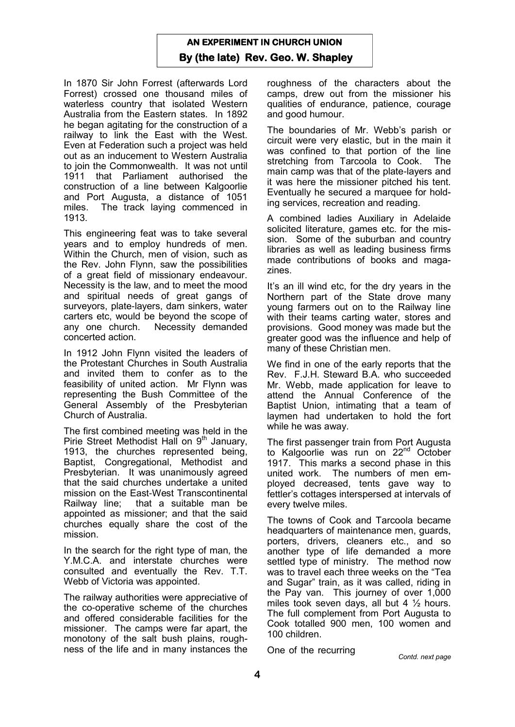## **AN EXPERIMENT IN CHURCH UNION By (the late) Rev. Geo. W. Shapley**

In 1870 Sir John Forrest (afterwards Lord Forrest) crossed one thousand miles of waterless country that isolated Western Australia from the Eastern states. In 1892 he began agitating for the construction of a railway to link the East with the West. Even at Federation such a project was held out as an inducement to Western Australia to join the Commonwealth. It was not until 1911 that Parliament authorised the construction of a line between Kalgoorlie and Port Augusta, a distance of 1051 miles. The track laying commenced in 1913.

This engineering feat was to take several years and to employ hundreds of men. Within the Church, men of vision, such as the Rev. John Flynn, saw the possibilities of a great field of missionary endeavour. Necessity is the law, and to meet the mood and spiritual needs of great gangs of surveyors, plate-layers, dam sinkers, water carters etc, would be beyond the scope of any one church. Necessity demanded concerted action.

In 1912 John Flynn visited the leaders of the Protestant Churches in South Australia and invited them to confer as to the feasibility of united action. Mr Flynn was representing the Bush Committee of the General Assembly of the Presbyterian Church of Australia.

The first combined meeting was held in the Pirie Street Methodist Hall on  $9<sup>th</sup>$  January, 1913, the churches represented being, Baptist, Congregational, Methodist and Presbyterian. It was unanimously agreed that the said churches undertake a united mission on the East-West Transcontinental Railway line; that a suitable man be appointed as missioner; and that the said churches equally share the cost of the mission.

In the search for the right type of man, the Y.M.C.A. and interstate churches were consulted and eventually the Rev. T.T. Webb of Victoria was appointed.

The railway authorities were appreciative of the co-operative scheme of the churches and offered considerable facilities for the missioner. The camps were far apart, the monotony of the salt bush plains, roughness of the life and in many instances the roughness of the characters about the camps, drew out from the missioner his qualities of endurance, patience, courage and good humour.

The boundaries of Mr. Webb's parish or circuit were very elastic, but in the main it was confined to that portion of the line<br>stretching from Tarcoola to Cook The stretching from Tarcoola to Cook. main camp was that of the plate-layers and it was here the missioner pitched his tent. Eventually he secured a marquee for holding services, recreation and reading.

A combined ladies Auxiliary in Adelaide solicited literature, games etc. for the mission. Some of the suburban and country libraries as well as leading business firms made contributions of books and magazines.

It's an ill wind etc, for the dry years in the Northern part of the State drove many young farmers out on to the Railway line with their teams carting water, stores and provisions. Good money was made but the greater good was the influence and help of many of these Christian men.

We find in one of the early reports that the Rev. F.J.H. Steward B.A. who succeeded Mr. Webb, made application for leave to attend the Annual Conference of the Baptist Union, intimating that a team of laymen had undertaken to hold the fort while he was away.

The first passenger train from Port Augusta to Kalgoorlie was run on 22<sup>nd</sup> October 1917. This marks a second phase in this united work. The numbers of men employed decreased, tents gave way to fettler's cottages interspersed at intervals of every twelve miles.

The towns of Cook and Tarcoola became headquarters of maintenance men, guards, porters, drivers, cleaners etc., and so another type of life demanded a more settled type of ministry. The method now was to travel each three weeks on the "Tea and Sugar" train, as it was called, riding in the Pay van. This journey of over 1,000 miles took seven days, all but 4  $\frac{1}{2}$  hours. The full complement from Port Augusta to Cook totalled 900 men, 100 women and 100 children.

One of the recurring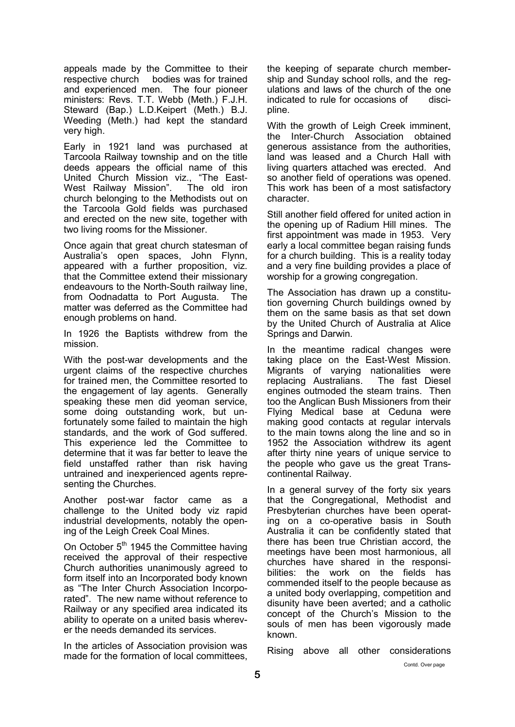appeals made by the Committee to their respective church bodies was for trained and experienced men. The four pioneer ministers: Revs. T.T. Webb (Meth.) F.J.H. Steward (Bap.) L.D.Keipert (Meth.) B.J. Weeding (Meth.) had kept the standard very high.

Early in 1921 land was purchased at Tarcoola Railway township and on the title deeds appears the official name of this United Church Mission viz., "The East-West Railway Mission". The old iron church belonging to the Methodists out on the Tarcoola Gold fields was purchased and erected on the new site, together with two living rooms for the Missioner.

Once again that great church statesman of Australia's open spaces, John Flynn, appeared with a further proposition, viz. that the Committee extend their missionary endeavours to the North-South railway line, from Oodnadatta to Port Augusta. The matter was deferred as the Committee had enough problems on hand.

In 1926 the Baptists withdrew from the mission.

With the post-war developments and the urgent claims of the respective churches for trained men, the Committee resorted to the engagement of lay agents. Generally speaking these men did yeoman service, some doing outstanding work, but unfortunately some failed to maintain the high standards, and the work of God suffered. This experience led the Committee to determine that it was far better to leave the field unstaffed rather than risk having untrained and inexperienced agents representing the Churches.

Another post-war factor came as a challenge to the United body viz rapid industrial developments, notably the opening of the Leigh Creek Coal Mines.

On October 5<sup>th</sup> 1945 the Committee having received the approval of their respective Church authorities unanimously agreed to form itself into an Incorporated body known as "The Inter Church Association Incorporated". The new name without reference to Railway or any specified area indicated its ability to operate on a united basis wherever the needs demanded its services.

In the articles of Association provision was made for the formation of local committees,

the keeping of separate church membership and Sunday school rolls, and the regulations and laws of the church of the one indicated to rule for occasions of discipline.

With the growth of Leigh Creek imminent, the Inter-Church Association obtained generous assistance from the authorities, land was leased and a Church Hall with living quarters attached was erected. And so another field of operations was opened. This work has been of a most satisfactory character.

Still another field offered for united action in the opening up of Radium Hill mines. The first appointment was made in 1953. Very early a local committee began raising funds for a church building. This is a reality today and a very fine building provides a place of worship for a growing congregation.

The Association has drawn up a constitution governing Church buildings owned by them on the same basis as that set down by the United Church of Australia at Alice Springs and Darwin.

In the meantime radical changes were taking place on the East-West Mission. Migrants of varying nationalities were replacing Australians. The fast Diesel engines outmoded the steam trains. Then too the Anglican Bush Missioners from their Flying Medical base at Ceduna were making good contacts at regular intervals to the main towns along the line and so in 1952 the Association withdrew its agent after thirty nine years of unique service to the people who gave us the great Transcontinental Railway.

In a general survey of the forty six years that the Congregational, Methodist and Presbyterian churches have been operating on a co-operative basis in South Australia it can be confidently stated that there has been true Christian accord, the meetings have been most harmonious, all churches have shared in the responsibilities: the work on the fields has commended itself to the people because as a united body overlapping, competition and disunity have been averted; and a catholic concept of the Church's Mission to the souls of men has been vigorously made known.

Rising above all other considerations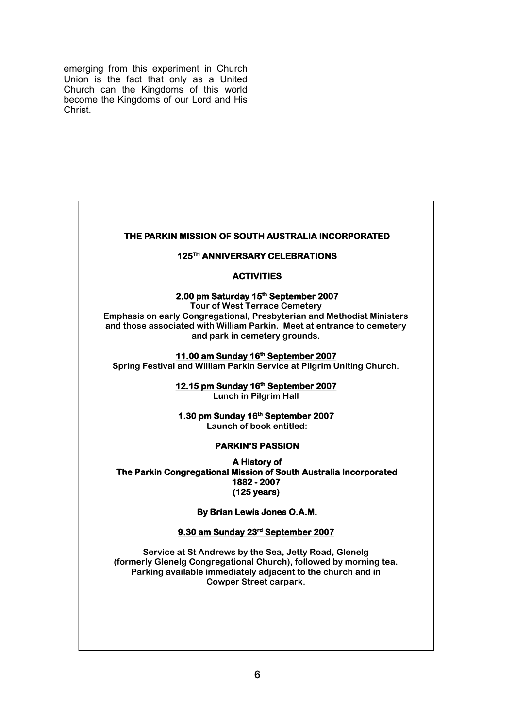emerging from this experiment in Church Union is the fact that only as a United Church can the Kingdoms of this world become the Kingdoms of our Lord and His Christ.

#### **THE PARKIN MISSION OF SOUTH AUSTRALIA INCORPORATED**

#### **125TH ANNIVERSARY CELEBRATIONS**

#### **ACTIVITIES**

#### **2.00 pm Saturday 15th September 2007**

**Tour of West Terrace Cemetery Emphasis on early Congregational, Presbyterian and Methodist Ministers and those associated with William Parkin. Meet at entrance to cemetery and park in cemetery grounds.**

#### **11.00 am Sunday 16th September 2007**

**Spring Festival and William Parkin Service at Pilgrim Uniting Church.**

**12.15 pm Sunday 16th September 2007** 

**Lunch in Pilgrim Hall**

**1.30 pm Sunday 16th September 2007 Launch of book entitled:**

#### **PARKIN'S PASSION**

**A History of The Parkin Congregational Mission of South Australia Incorporated 1882 - 2007 (125 years)** 

**By Brian Lewis Jones O.A.M.** 

#### **9.30 am Sunday 23rd September 2007**

**Service at St Andrews by the Sea, Jetty Road, Glenelg (formerly Glenelg Congregational Church), followed by morning tea. Parking available immediately adjacent to the church and in Cowper Street carpark.**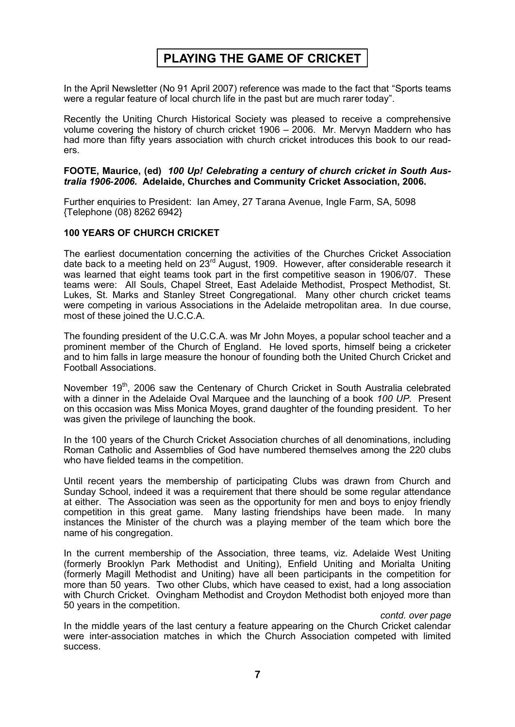# **PLAYING THE GAME OF CRICKET**

In the April Newsletter (No 91 April 2007) reference was made to the fact that "Sports teams were a regular feature of local church life in the past but are much rarer today".

Recently the Uniting Church Historical Society was pleased to receive a comprehensive volume covering the history of church cricket 1906 – 2006. Mr. Mervyn Maddern who has had more than fifty years association with church cricket introduces this book to our readers.

#### **FOOTE, Maurice, (ed)** *100 Up! Celebrating a century of church cricket in South Australia 1906-2006.* **Adelaide, Churches and Community Cricket Association, 2006.**

Further enquiries to President: Ian Amey, 27 Tarana Avenue, Ingle Farm, SA, 5098 {Telephone (08) 8262 6942}

#### **100 YEARS OF CHURCH CRICKET**

The earliest documentation concerning the activities of the Churches Cricket Association date back to a meeting held on 23<sup>rd</sup> August, 1909. However, after considerable research it was learned that eight teams took part in the first competitive season in 1906/07. These teams were: All Souls, Chapel Street, East Adelaide Methodist, Prospect Methodist, St. Lukes, St. Marks and Stanley Street Congregational. Many other church cricket teams were competing in various Associations in the Adelaide metropolitan area. In due course, most of these joined the U.C.C.A.

The founding president of the U.C.C.A. was Mr John Moyes, a popular school teacher and a prominent member of the Church of England. He loved sports, himself being a cricketer and to him falls in large measure the honour of founding both the United Church Cricket and Football Associations.

November 19<sup>th</sup>, 2006 saw the Centenary of Church Cricket in South Australia celebrated with a dinner in the Adelaide Oval Marquee and the launching of a book *100 UP.* Present on this occasion was Miss Monica Moyes, grand daughter of the founding president. To her was given the privilege of launching the book.

In the 100 years of the Church Cricket Association churches of all denominations, including Roman Catholic and Assemblies of God have numbered themselves among the 220 clubs who have fielded teams in the competition.

Until recent years the membership of participating Clubs was drawn from Church and Sunday School, indeed it was a requirement that there should be some regular attendance at either. The Association was seen as the opportunity for men and boys to enjoy friendly competition in this great game. Many lasting friendships have been made. In many instances the Minister of the church was a playing member of the team which bore the name of his congregation.

In the current membership of the Association, three teams, viz. Adelaide West Uniting (formerly Brooklyn Park Methodist and Uniting), Enfield Uniting and Morialta Uniting (formerly Magill Methodist and Uniting) have all been participants in the competition for more than 50 years. Two other Clubs, which have ceased to exist, had a long association with Church Cricket. Ovingham Methodist and Croydon Methodist both enjoyed more than 50 years in the competition.

*contd. over page* 

In the middle years of the last century a feature appearing on the Church Cricket calendar were inter-association matches in which the Church Association competed with limited success.